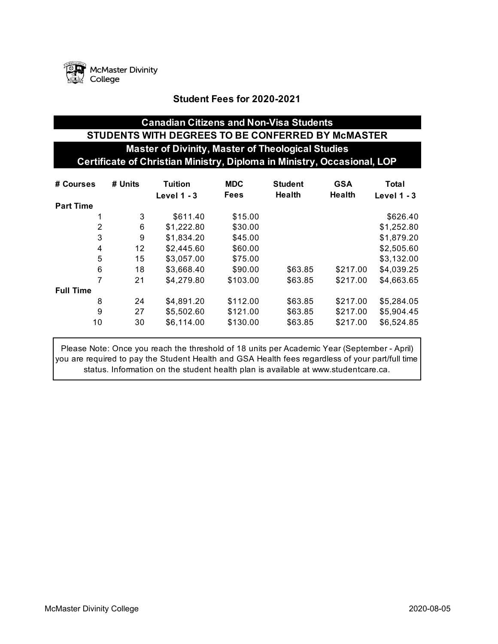

### **Student Fees for 2020-2021**

# **Canadian Citizens and Non-Visa Students STUDENTS WITH DEGREES TO BE CONFERRED BY McMASTER Master of Divinity, Master of Theological Studies Certificate of Christian Ministry, Diploma in Ministry, Occasional, LOP**

| # Courses        | # Units | Tuition    | <b>MDC</b>                        | <b>Student</b> | <b>GSA</b> | Total         |
|------------------|---------|------------|-----------------------------------|----------------|------------|---------------|
|                  |         |            | <b>Fees</b><br><b>Level 1 - 3</b> |                | Health     | Level $1 - 3$ |
| <b>Part Time</b> |         |            |                                   |                |            |               |
| 1                | 3       | \$611.40   | \$15.00                           |                |            | \$626.40      |
| 2                | 6       | \$1,222.80 | \$30.00                           |                |            | \$1,252.80    |
| 3                | 9       | \$1,834.20 | \$45.00                           |                |            | \$1,879.20    |
| 4                | 12      | \$2,445.60 | \$60.00                           |                |            | \$2,505.60    |
| 5                | 15      | \$3,057.00 | \$75.00                           |                |            | \$3,132.00    |
| 6                | 18      | \$3,668.40 | \$90.00                           | \$63.85        | \$217.00   | \$4,039.25    |
| 7                | 21      | \$4,279.80 | \$103.00                          | \$63.85        | \$217.00   | \$4,663.65    |
| <b>Full Time</b> |         |            |                                   |                |            |               |
| 8                | 24      | \$4,891.20 | \$112.00                          | \$63.85        | \$217.00   | \$5,284.05    |
| 9                | 27      | \$5,502.60 | \$121.00                          | \$63.85        | \$217.00   | \$5,904.45    |
| 10               | 30      | \$6,114.00 | \$130.00                          | \$63.85        | \$217.00   | \$6,524.85    |

Please Note: Once you reach the threshold of 18 units per Academic Year (September - April) you are required to pay the Student Health and GSA Health fees regardless of your part/full time status. Information on the student health plan is available at www.studentcare.ca.